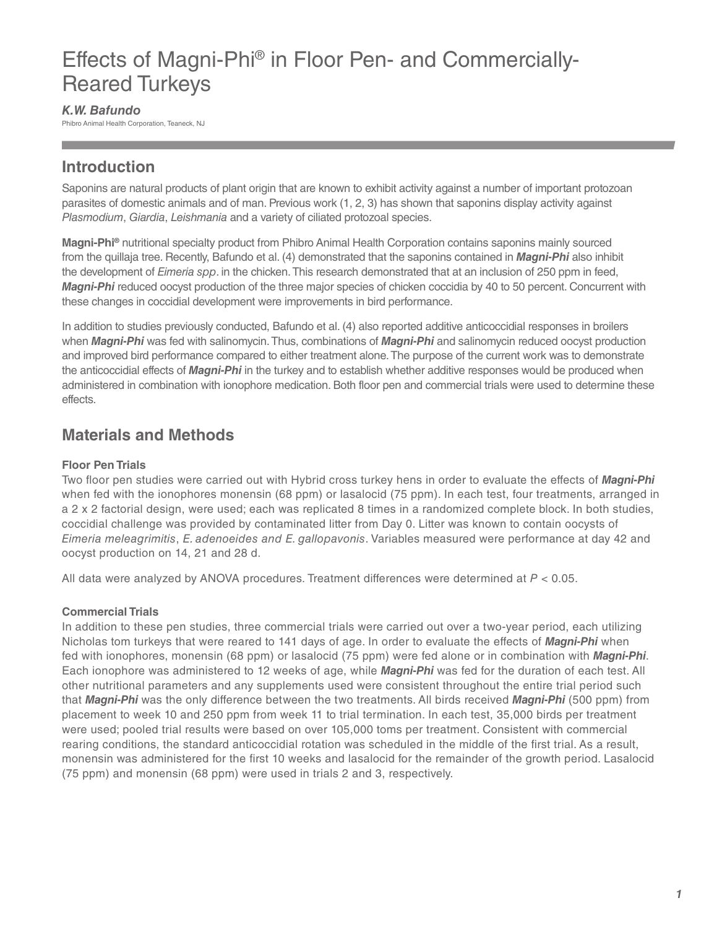# Effects of Magni-Phi® in Floor Pen- and Commercially-Reared Turkeys

#### *K.W. Bafundo*

Phibro Animal Health Corporation, Teaneck, NJ

## **Introduction**

Saponins are natural products of plant origin that are known to exhibit activity against a number of important protozoan parasites of domestic animals and of man. Previous work (1, 2, 3) has shown that saponins display activity against *Plasmodium*, *Giardia*, *Leishmania* and a variety of ciliated protozoal species.

**Magni-Phi®** nutritional specialty product from Phibro Animal Health Corporation contains saponins mainly sourced from the quillaja tree. Recently, Bafundo et al. (4) demonstrated that the saponins contained in *Magni-Phi* also inhibit the development of *Eimeria spp*. in the chicken. This research demonstrated that at an inclusion of 250 ppm in feed, *Magni-Phi* reduced oocyst production of the three major species of chicken coccidia by 40 to 50 percent. Concurrent with these changes in coccidial development were improvements in bird performance.

In addition to studies previously conducted, Bafundo et al. (4) also reported additive anticoccidial responses in broilers when *Magni-Phi* was fed with salinomycin. Thus, combinations of *Magni-Phi* and salinomycin reduced oocyst production and improved bird performance compared to either treatment alone. The purpose of the current work was to demonstrate the anticoccidial effects of *Magni-Phi* in the turkey and to establish whether additive responses would be produced when administered in combination with ionophore medication. Both floor pen and commercial trials were used to determine these effects.

## **Materials and Methods**

#### **Floor Pen Trials**

Two floor pen studies were carried out with Hybrid cross turkey hens in order to evaluate the effects of *Magni-Phi* when fed with the ionophores monensin (68 ppm) or lasalocid (75 ppm). In each test, four treatments, arranged in a 2 x 2 factorial design, were used; each was replicated 8 times in a randomized complete block. In both studies, coccidial challenge was provided by contaminated litter from Day 0. Litter was known to contain oocysts of *Eimeria meleagrimitis*, *E. adenoeides and E. gallopavonis*. Variables measured were performance at day 42 and oocyst production on 14, 21 and 28 d.

All data were analyzed by ANOVA procedures. Treatment differences were determined at *P* < 0.05.

#### **Commercial Trials**

In addition to these pen studies, three commercial trials were carried out over a two-year period, each utilizing Nicholas tom turkeys that were reared to 141 days of age. In order to evaluate the effects of *Magni-Phi* when fed with ionophores, monensin (68 ppm) or lasalocid (75 ppm) were fed alone or in combination with *Magni-Phi*. Each ionophore was administered to 12 weeks of age, while *Magni-Phi* was fed for the duration of each test. All other nutritional parameters and any supplements used were consistent throughout the entire trial period such that *Magni-Phi* was the only difference between the two treatments. All birds received *Magni-Phi* (500 ppm) from placement to week 10 and 250 ppm from week 11 to trial termination. In each test, 35,000 birds per treatment were used; pooled trial results were based on over 105,000 toms per treatment. Consistent with commercial rearing conditions, the standard anticoccidial rotation was scheduled in the middle of the first trial. As a result, monensin was administered for the first 10 weeks and lasalocid for the remainder of the growth period. Lasalocid (75 ppm) and monensin (68 ppm) were used in trials 2 and 3, respectively.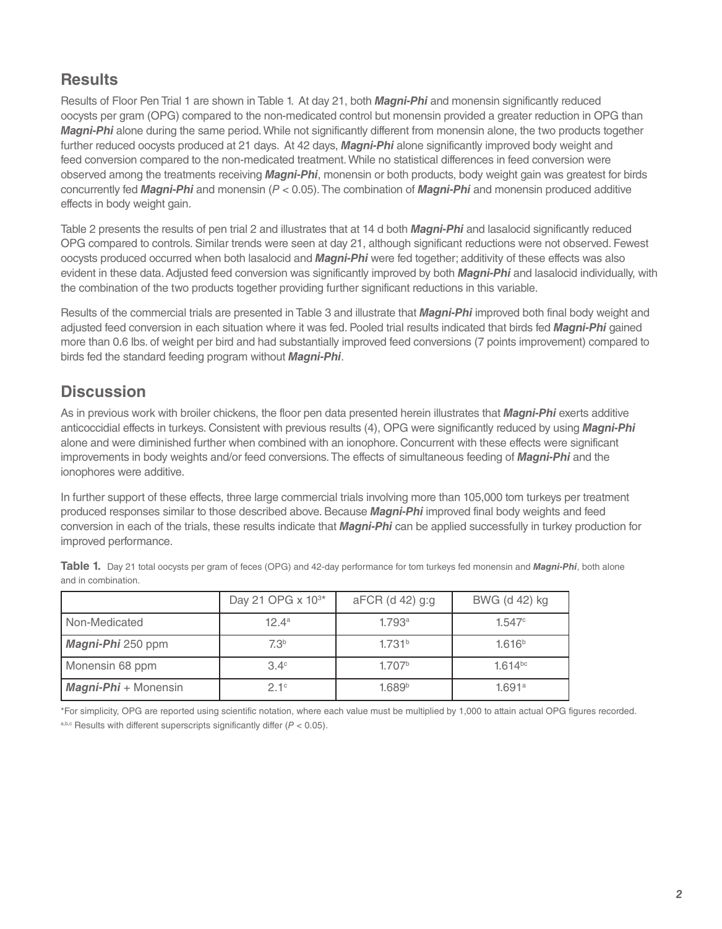## **Results**

Results of Floor Pen Trial 1 are shown in Table 1. At day 21, both *Magni-Phi* and monensin significantly reduced oocysts per gram (OPG) compared to the non-medicated control but monensin provided a greater reduction in OPG than *Magni-Phi* alone during the same period. While not significantly different from monensin alone, the two products together further reduced oocysts produced at 21 days. At 42 days, *Magni-Phi* alone significantly improved body weight and feed conversion compared to the non-medicated treatment. While no statistical differences in feed conversion were observed among the treatments receiving *Magni-Phi*, monensin or both products, body weight gain was greatest for birds concurrently fed *Magni-Phi* and monensin (*P* < 0.05). The combination of *Magni-Phi* and monensin produced additive effects in body weight gain.

Table 2 presents the results of pen trial 2 and illustrates that at 14 d both *Magni-Phi* and lasalocid significantly reduced OPG compared to controls. Similar trends were seen at day 21, although significant reductions were not observed. Fewest oocysts produced occurred when both lasalocid and *Magni-Phi* were fed together; additivity of these effects was also evident in these data. Adjusted feed conversion was significantly improved by both *Magni-Phi* and lasalocid individually, with the combination of the two products together providing further significant reductions in this variable.

Results of the commercial trials are presented in Table 3 and illustrate that *Magni-Phi* improved both final body weight and adjusted feed conversion in each situation where it was fed. Pooled trial results indicated that birds fed *Magni-Phi* gained more than 0.6 lbs. of weight per bird and had substantially improved feed conversions (7 points improvement) compared to birds fed the standard feeding program without *Magni-Phi*.

## **Discussion**

As in previous work with broiler chickens, the floor pen data presented herein illustrates that *Magni-Phi* exerts additive anticoccidial effects in turkeys. Consistent with previous results (4), OPG were significantly reduced by using *Magni-Phi* alone and were diminished further when combined with an ionophore. Concurrent with these effects were significant improvements in body weights and/or feed conversions. The effects of simultaneous feeding of *Magni-Phi* and the ionophores were additive.

In further support of these effects, three large commercial trials involving more than 105,000 tom turkeys per treatment produced responses similar to those described above. Because *Magni-Phi* improved final body weights and feed conversion in each of the trials, these results indicate that *Magni-Phi* can be applied successfully in turkey production for improved performance.

|                             | Day 21 OPG x 10 <sup>3*</sup> | $aFCR$ (d 42) g:g  | BWG (d 42) kg      |
|-----------------------------|-------------------------------|--------------------|--------------------|
| Non-Medicated               | $12.4^a$                      | 1.793a             | 1.547c             |
| Magni-Phi 250 ppm           | 7.3 <sup>b</sup>              | 1.731 <sup>b</sup> | 1.616 <sup>b</sup> |
| Monensin 68 ppm             | $3.4^\circ$                   | 1.707 <sup>b</sup> | $1.614^{bc}$       |
| <b>Magni-Phi</b> + Monensin | 21c                           | 1.689 <sup>b</sup> | 1.691a             |

**Table 1.** Day 21 total oocysts per gram of feces (OPG) and 42-day performance for tom turkeys fed monensin and *Magni-Phi*, both alone and in combination.

\*For simplicity, OPG are reported using scientific notation, where each value must be multiplied by 1,000 to attain actual OPG figures recorded.  $a,b,c$  Results with different superscripts significantly differ ( $P < 0.05$ ).